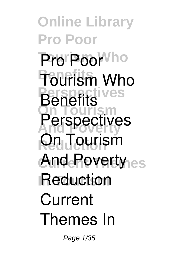**Online Library Pro Poor** Pro Poor<sup>Vho</sup> **Benefits Tourism Who Perspectives On Tourism And Poverty Perspectives Reduction On Tourism And Poverty In Tourism Reduction Benefits Current Themes In**

Page 1/35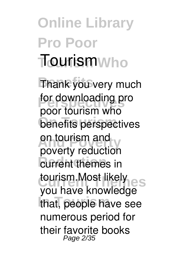# **Online Library Pro Poor Tourism Who Tourism**

**Thank you very much** for downloading pro **benefits perspectives on tourism and** *<u>Current themes</u>* in **tourism.Most likely** that, people have see **poor tourism who poverty reduction** you have knowledge numerous period for their favorite books Page 2/35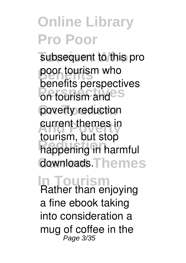subsequent to this pro poor tourism who on tourism and <sup>S</sup> poverty reduction current themes in **Reduction** happening in harmful downloads.Themes benefits perspectives tourism, but stop

**In Tourism** Rather than enjoying a fine ebook taking into consideration a mug of coffee in the Page 3/35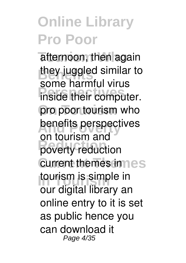afternoon, then again they juggled similar to **Perspectives** inside their computer. pro poor tourism who **benefits perspectives Reduction poverty reduction current themes innes** *tourism* is simple in some harmful virus **on tourism and** our digital library an online entry to it is set as public hence you can download it Page 4/35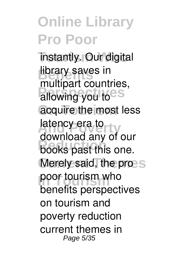**Tinstantly. Our digital library saves in** allowing you to <sup>35</sup> acquire the most less latency era to ty **Reduction** books past this one. Merely said, the pro-S **poor tourism who** multipart countries, download any of our benefits perspectives on tourism and poverty reduction current themes in Page 5/35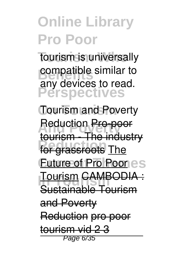tourism is universally **b** compatible similar to **Perspectives** any devices to read.

**On Tourism Tourism and Poverty Reduction**<br> **Reduction**<br> **Reduction**<br> **Reduction Reduction** for grassroots The **Euture of Pro Poor es In Tourism** Tourism CAMBODIA : tourism - The industry Sustainable Tourism and Poverty Reduction pro poor tourism vid 2 3 Page 6/35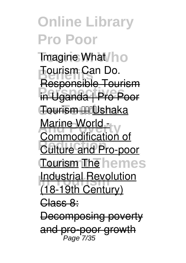**Tmagine What/ho Benefield**<br>**Benefield Perspectives** in Uganda | Pro Poor **On Tourism** Tourism Ushaka **Marine World -Culture and Pro-poor Tourism The hemes Industrial Revolution** Tourism Can Do. Responsible Tourism Commodification of (18-19th Century) Class 8: Decomposing poverty

and pro-poor growth Page 7/35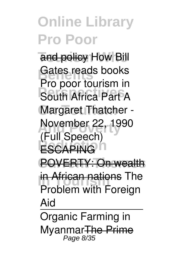and policy How Bill Gates reads books **Perspective South Africa Part A Margaret Thatcher -And Power 22, 1990 ESCAPING**<sup>n</sup> **Pro poor tourism in (Full Speech)**

POVERTY: On wealth

**In African nations The** *Problem with Foreign*

*Aid*

Organic Farming in MyanmarThe Prime Page 8/35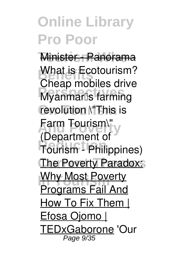**Minister - Panorama Benefits**<br>Changing **Perspectives** *Myanmar's farming* revolution **\"This** is **Farm Tourism\" Reduction Tourism - Philippines) The Poverty Paradox:** *<u>In Most Poverty</u> What is Ecotourism? Cheap mobiles drive* **(Department of** Programs Fail And How To Fix Them | <u>Efosa Ojomo |</u> TEDxGaborone **'Our** Page 9/35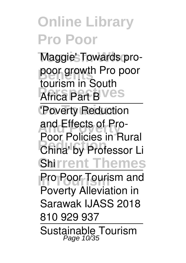Maggie'<sub>S</sub> Towards pro**poor growth Pro poor Africa Part BVes tourism in South**

**'Poverty Reduction And Poverty** and Effects of Pro-**China' by Professor Li Shirrent Themes** Poor Policies in Rural

**Pro Poor Tourism and** Poverty Alleviation in Sarawak IJASS 2018

810 929 937

Sustainable Tourism Page 10/35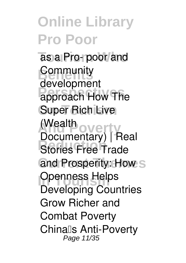as a Pro- poor and **Benefits Perspectives** approach How The **Super Rich Live And Powerty Reduction**Stories Free Trade and Prosperity: How<sub>S</sub> **Openness Helps** development (Wealth Documentary) | Real **Developing Countries Grow Richer and Combat Poverty** *China's Anti-Poverty* Page 11/35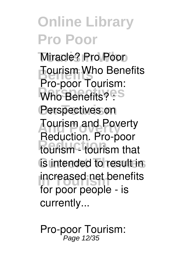**Tourism Who** *Miracle?* **Pro Poor Benefits**<br>Browners To Who Benefits? : S Perspectives on **And Poverty** Tourism and Poverty **Reduction** tourism - tourism that is intended to result in **Increased net benefits Tourism Who Benefits** Pro-poor Tourism: Reduction. Pro-poor for poor people - is currently...

**Pro-poor Tourism:** Page 12/35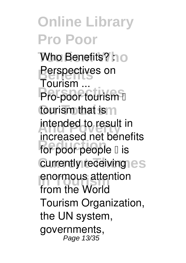**Who Benefits?** ho **Perspectives on Pro-poor tourism L** tourism that is m **intended to result in** for poor people **l** is **currently receiving es** enormous attention **Tourism ...** increased net benefits from the World Tourism Organization, the UN system, governments, Page 13/35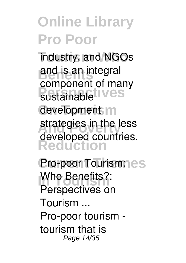industry, and NGOs and is an integral sustainable<sup>t</sup> ives development m strategies in the less **Reduction** component of many developed countries.

**Pro-poor Tourism:** es **In The Benefits?: Perspectives on Tourism ...** Pro-poor tourism tourism that is Page 14/35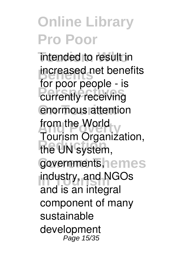intended to result in **Benefits** increased net benefits currently receiving enormous attention from the World **Reduction** the UN system, governments, nemes industry, and NGOs for poor people - is Tourism Organization, and is an integral component of many sustainable development Page 15/35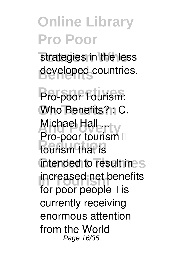strategies in the less developed countries.

**Perspectives Pro-poor Tourism: Who Benefits? : C.** Michael Hall ... **Reduction** tourism that is intended to result ines **Increased net benefits** Pro-poor tourism  $\Box$ for poor people  $\mathbb I$  is currently receiving enormous attention from the World Page 16/35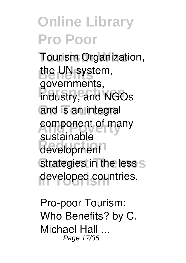**Tourism Organization,** the UN system, **Perspectives** industry, and NGOs and is an integral component of many **Reduction** development strategies in the less S developed countries. governments, sustainable

**Pro-poor Tourism: Who Benefits? by C. Michael Hall ...** Page 17/35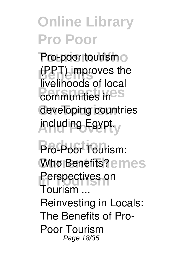Pro-poor tourism o **(PPT)** improves the **Perspectives** communities in **PS** developing countries including Egypt. livelihoods of local

**Reduction Pro-Poor Tourism: Who Benefits?** emes **Perspectives on Tourism ...** Reinvesting in Locals: The Benefits of Pro-Poor Tourism Page 18/35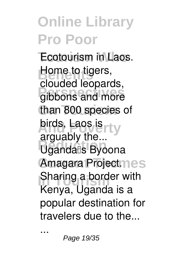**Ecotourism in Laos. Bome to tigers, Perspectives** gibbons and more than 800 species of birds, Laos is <sub>rty</sub> **Reduction** Uganda's Byoona **Amagara Projectmes Sharing a border with** clouded leopards, arguably the... Kenya, Uganda is a popular destination for travelers due to the...

...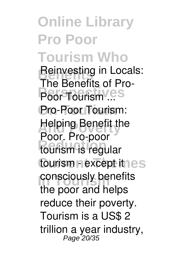**Online Library Pro Poor Tourism Who Reinvesting in Locals:**<br>The Benefits of Dre. Poor Tourism ...<sup>s</sup> **On Tourism** Pro-Poor Tourism: **Helping Benefit the Reduction** tourism is regular tourism **Pexcept it nes Consciously benefits The Benefits of Pro-**Poor. Pro-poor the poor and helps reduce their poverty. Tourism is a US\$ 2 trillion a year industry, Page 20/35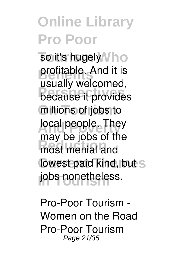so it's hugely Vho **profitable.** And it is **Perspectives** because it provides millions of jobs to local people. They may be jobb of a lowest paid kind, but s jobs nonetheless. usually welcomed, may be jobs of the

**Pro-Poor Tourism - Women on the Road** Pro-Poor Tourism Page 21/35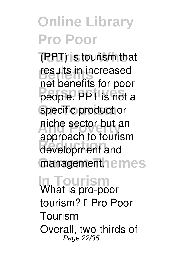**Tourism Who** (PPT) is tourism that **results in increased** people. PPT is not a specific product or **And Poverty** niche sector but an **Reduction** development and managementhemes net benefits for poor approach to tourism

#### **In Tourism What is pro-poor tourism? – Pro Poor**

**Tourism** Overall, two-thirds of Page 22/35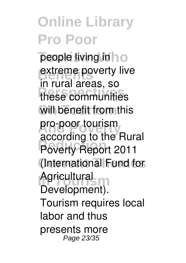people living in **ho** extreme poverty live **Perspectives** these communities will benefit from this pro-poor tourism **Reduction** Poverty Report 2011 (International Fund for Agricultural in rural areas, so according to the Rural Development). Tourism requires local labor and thus presents more Page 23/35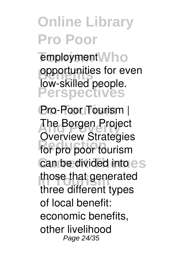employment<sup>W</sup>ho **opportunities for even Perspectives** low-skilled people.

**On Tourism Pro-Poor Tourism | The Borgen Project Reduction** for pro poor tourism can be divided into es those that generated **Overview Strategies** three different types of local benefit: economic benefits, other livelihood Page 24/35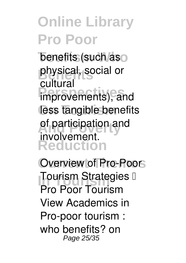**benefits (such as** physical, social or **Perspectives** improvements), and less tangible benefits of participation and **Reduction** cultural involvement.

**Overview of Pro-Poors Tourism Strategies D Pro Poor Tourism** View Academics in Pro-poor tourism : who benefits? on Page 25/35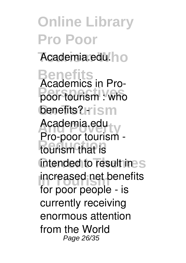**Online Library Pro Poor** Academia.edu.ho **Benefits Perspectives poor tourism : who benefits?** Hism Academia.edu<sub>ty</sub> **Reduction** tourism that is intended to result ines **Increased net benefits Academics in Pro-**Pro-poor tourism for poor people - is currently receiving enormous attention from the World Page 26/35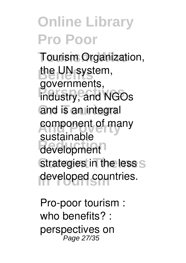**Tourism Organization,** the UN system, **Perspectives** industry, and NGOs and is an integral component of many **Reduction** development strategies in the less S developed countries. governments, sustainable

**Pro-poor tourism : who benefits? : perspectives on** Page 27/35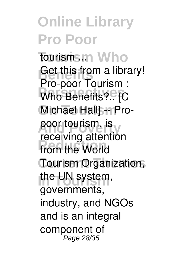**Online Library Pro Poor Tourism Who tourism ...** Get this from a library! **Person** Fouriers ... **Michael Hall** -- Propoor tourism, is **from the World Tourism Organization,** the UN system, Pro-poor Tourism : receiving attention governments, industry, and NGOs and is an integral component of Page 28/35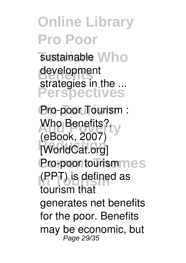sustainable Who development **Perspectives** strategies in the ...

**On Tourism Pro-poor Tourism : And Benefits?**<br> **And And And And A Reduction [WorldCat.org] Pro-poor tourismmes In Tourism** (PPT) is defined as **(eBook, 2007)** tourism that generates net benefits for the poor. Benefits may be economic, but Page 29/35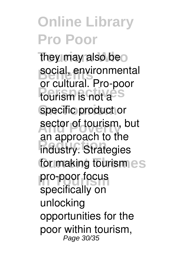they may also beo social, environmental **Perspectives** tourism is not a specific product or sector of tourism, but **Reduction** industry. Strategies for making tourismes pro-poor focus or cultural. Pro-poor an approach to the specifically on unlocking opportunities for the poor within tourism, Page 30/35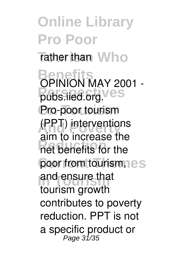**Online Library Pro Poor Tather than Who Benefits Perspectives pubs.iied.org.** Pro-poor tourism **And Poverty** (PPT) interventions **Reduction**<br> **Reduction Reduction** poor from tourism, es and ensure that **OPINION MAY 2001**  aim to increase the tourism growth contributes to poverty reduction. PPT is not a specific product or<br><sup>Page 31/35</sup>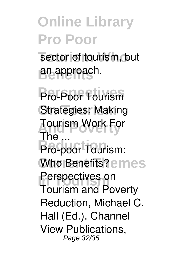sector of tourism, but **Benefits** an approach.

**Perspectives Pro-Poor Tourism Strategies: Making And Poverty Tourism Work For Pro-poor Tourism:** Who Benefits?emes **Perspectives on The ...** Tourism and Poverty Reduction, Michael C. Hall (Ed.). Channel View Publications, Page 32/35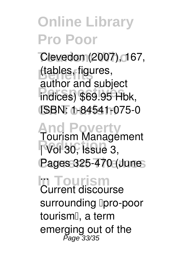Clevedon (2007), 167, **Benefits** (tables, figures, **Perspectives** indices) \$69.95 Hbk, **On Tourism** ISBN: 1-84541-075-0 author and subject

**And Poverty Reduction | Vol 30, Issue 3, Current Themes Pages 325-470 (June Tourism Management**

#### **In Tourism ...** Current discourse

surrounding **[pro-poor** tourism', a term emerging out of the Page 33/35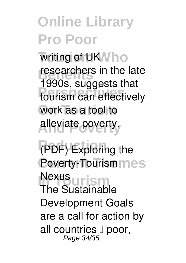writing of UK<sup>N</sup>ho researchers in the late **Perspectives** tourism can effectively work as a tool to **And Poverty** alleviate poverty. 1990s, suggests that

**Reduction (PDF) Exploring the Poverty-Tourismmes** Nexus<br>The **Currism** The Sustainable Development Goals are a call for action by all countries  $\mathbb I$  poor,<br>Page 34/35